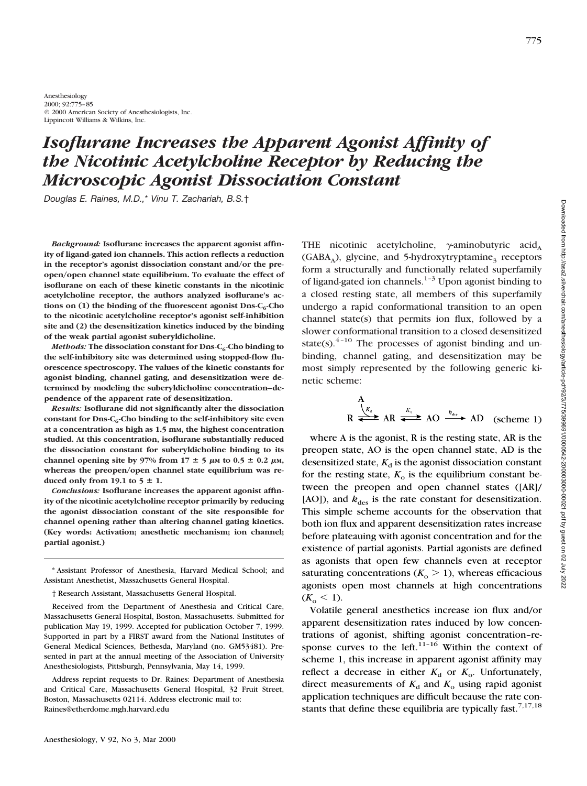775

Anesthesiology 2000; 92:775–85 © 2000 American Society of Anesthesiologists, Inc. Lippincott Williams & Wilkins, Inc.

# *Isoflurane Increases the Apparent Agonist Affinity of the Nicotinic Acetylcholine Receptor by Reducing the Microscopic Agonist Dissociation Constant*

*Douglas E. Raines, M.D.,*\* *Vinu T. Zachariah, B.S.*†

*Background:* **Isoflurane increases the apparent agonist affinity of ligand-gated ion channels. This action reflects a reduction in the receptor's agonist dissociation constant and/or the preopen/open channel state equilibrium. To evaluate the effect of isoflurane on each of these kinetic constants in the nicotinic acetylcholine receptor, the authors analyzed isoflurane's ac**tions on  $(1)$  the binding of the fluorescent agonist Dns-C<sub>6</sub>-Cho **to the nicotinic acetylcholine receptor's agonist self-inhibition site and (2) the desensitization kinetics induced by the binding of the weak partial agonist suberyldicholine.**

*Methods:* The dissociation constant for Dns-C<sub>6</sub>-Cho binding to **the self-inhibitory site was determined using stopped-flow fluorescence spectroscopy. The values of the kinetic constants for agonist binding, channel gating, and desensitization were determined by modeling the suberyldicholine concentration–dependence of the apparent rate of desensitization.**

*Results:* **Isoflurane did not significantly alter the dissociation** constant for Dns-C<sub>6</sub>-Cho binding to the self-inhibitory site even **at a concentration as high as 1.5 mM, the highest concentration studied. At this concentration, isoflurane substantially reduced the dissociation constant for suberyldicholine binding to its** channel opening site by 97% from  $17 \pm 5$   $\mu$ M to 0.5  $\pm$  0.2  $\mu$ M, **whereas the preopen/open channel state equilibrium was re**duced only from 19.1 to  $5 \pm 1$ .

*Conclusions:* **Isoflurane increases the apparent agonist affinity of the nicotinic acetylcholine receptor primarily by reducing the agonist dissociation constant of the site responsible for channel opening rather than altering channel gating kinetics. (Key words: Activation; anesthetic mechanism; ion channel; partial agonist.)**

\* Assistant Professor of Anesthesia, Harvard Medical School; and Assistant Anesthetist, Massachusetts General Hospital.

† Research Assistant, Massachusetts General Hospital.

Received from the Department of Anesthesia and Critical Care, Massachusetts General Hospital, Boston, Massachusetts. Submitted for publication May 19, 1999. Accepted for publication October 7, 1999. Supported in part by a FIRST award from the National Institutes of General Medical Sciences, Bethesda, Maryland (no. GM53481). Presented in part at the annual meeting of the Association of University Anesthesiologists, Pittsburgh, Pennsylvania, May 14, 1999.

Address reprint requests to Dr. Raines: Department of Anesthesia and Critical Care, Massachusetts General Hospital, 32 Fruit Street, Boston, Massachusetts 02114. Address electronic mail to: Raines@etherdome.mgh.harvard.edu

THE nicotinic acetylcholine,  $\gamma$ -aminobutyric acid<sub>A</sub>  $(GABA_A)$ , glycine, and 5-hydroxytryptamine<sub>3</sub> receptors form a structurally and functionally related superfamily of ligand-gated ion channels.<sup>1-3</sup> Upon agonist binding to a closed resting state, all members of this superfamily undergo a rapid conformational transition to an open channel state(s) that permits ion flux, followed by a slower conformational transition to a closed desensitized state(s).<sup>4-10</sup> The processes of agonist binding and unbinding, channel gating, and desensitization may be most simply represented by the following generic kinetic scheme:

$$
R \overset{A}{\Longleftrightarrow} AR \overset{k_0}{\Longleftrightarrow} AO \overset{k_{d_{\infty}}}{\Longleftrightarrow} AD \quad \text{(scheme 1)}
$$

where A is the agonist, R is the resting state, AR is the preopen state, AO is the open channel state, AD is the desensitized state,  $K_d$  is the agonist dissociation constant for the resting state,  $K_0$  is the equilibrium constant between the preopen and open channel states ([AR]/  $[AO]$ ), and  $k_{des}$  is the rate constant for desensitization. This simple scheme accounts for the observation that both ion flux and apparent desensitization rates increase before plateauing with agonist concentration and for the existence of partial agonists. Partial agonists are defined as agonists that open few channels even at receptor saturating concentrations  $(K_0 > 1)$ , whereas efficacious agonists open most channels at high concentrations  $(K_o \leq 1)$ .

Volatile general anesthetics increase ion flux and/or apparent desensitization rates induced by low concentrations of agonist, shifting agonist concentration–response curves to the left. $11-16$  Within the context of scheme 1, this increase in apparent agonist affinity may reflect a decrease in either  $K_d$  or  $K_o$ . Unfortunately, direct measurements of  $K_d$  and  $K_o$  using rapid agonist application techniques are difficult because the rate constants that define these equilibria are typically fast.<sup>7,17,18</sup>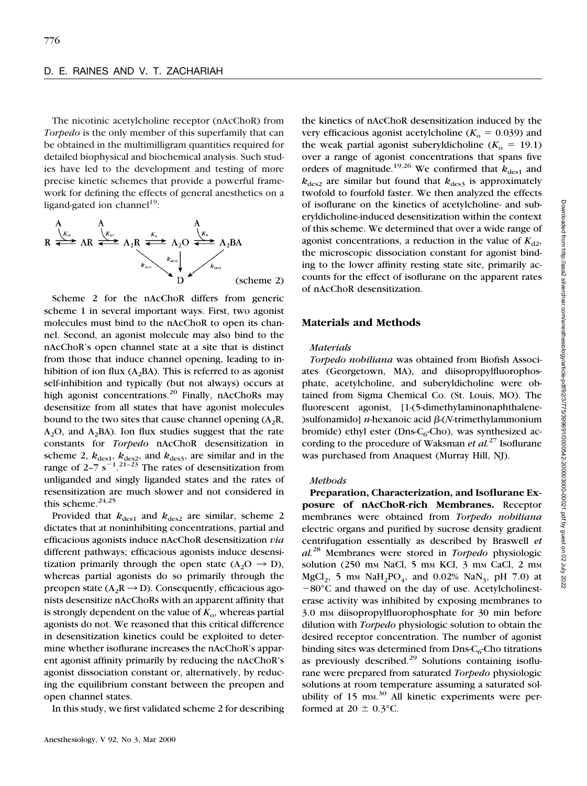The nicotinic acetylcholine receptor (nAcChoR) from *Torpedo* is the only member of this superfamily that can be obtained in the multimilligram quantities required for detailed biophysical and biochemical analysis. Such studies have led to the development and testing of more precise kinetic schemes that provide a powerful framework for defining the effects of general anesthetics on a ligand-gated ion channel<sup>19</sup>:



Scheme 2 for the nAcChoR differs from generic scheme 1 in several important ways. First, two agonist molecules must bind to the nAcChoR to open its channel. Second, an agonist molecule may also bind to the nAcChoR's open channel state at a site that is distinct from those that induce channel opening, leading to inhibition of ion flux ( $A_2BA$ ). This is referred to as agonist self-inhibition and typically (but not always) occurs at high agonist concentrations.<sup>20</sup> Finally, nAcChoRs may desensitize from all states that have agonist molecules bound to the two sites that cause channel opening  $(A_2R, A_1)$  $A_2O$ , and  $A_2BA$ ). Ion flux studies suggest that the rate constants for *Torpedo* nAcChoR desensitization in scheme 2,  $k_{des1}$ ,  $k_{des2}$ , and  $k_{des3}$ , are similar and in the range of  $2-7 s^{-1}$ . <sup>21-23</sup> The rates of desensitization from unliganded and singly liganded states and the rates of resensitization are much slower and not considered in this scheme.<sup>24,25</sup>

Provided that  $k_{\text{des}1}$  and  $k_{\text{des}2}$  are similar, scheme 2 dictates that at noninhibiting concentrations, partial and efficacious agonists induce nAcChoR desensitization *via* different pathways; efficacious agonists induce desensitization primarily through the open state  $(A_2O \rightarrow D)$ , whereas partial agonists do so primarily through the preopen state ( $A_2R \rightarrow D$ ). Consequently, efficacious agonists desensitize nAcChoRs with an apparent affinity that is strongly dependent on the value of  $K_0$ , whereas partial agonists do not. We reasoned that this critical difference in desensitization kinetics could be exploited to determine whether isoflurane increases the nAcChoR's apparent agonist affinity primarily by reducing the nAcChoR's agonist dissociation constant or, alternatively, by reducing the equilibrium constant between the preopen and open channel states.

In this study, we first validated scheme 2 for describing

the kinetics of nAcChoR desensitization induced by the very efficacious agonist acetylcholine  $(K_0 = 0.039)$  and the weak partial agonist suberyldicholine  $(K_0 = 19.1)$ over a range of agonist concentrations that spans five orders of magnitude.<sup>19,26</sup> We confirmed that  $k_{\text{des}1}$  and  $k_{\text{des}2}$  are similar but found that  $k_{\text{des}3}$  is approximately twofold to fourfold faster. We then analyzed the effects of isoflurane on the kinetics of acetylcholine- and suberyldicholine-induced desensitization within the context of this scheme. We determined that over a wide range of agonist concentrations, a reduction in the value of  $K_{d2}$ , the microscopic dissociation constant for agonist binding to the lower affinity resting state site, primarily accounts for the effect of isoflurane on the apparent rates of nAcChoR desensitization.

#### **Materials and Methods**

#### *Materials*

*Torpedo nobiliana* was obtained from Biofish Associates (Georgetown, MA), and diisopropylfluorophosphate, acetylcholine, and suberyldicholine were obtained from Sigma Chemical Co. (St. Louis, MO). The fluorescent agonist, [1-(5-dimethylaminonaphthalene-  $\sum_{n=1}^{\infty}$  > *n*-hexanoic acid  $\beta$ -(*N*-trimethylammonium bromide) ethyl ester (Dns- $C_6$ -Cho), was synthesized according to the procedure of Waksman *et al.*<sup>27</sup> Isoflurane was purchased from Anaquest (Murray Hill, NJ).

#### *Methods*

**Preparation, Characterization, and Isoflurane Exposure of nAcChoR-rich Membranes.** Receptor membranes were obtained from *Torpedo nobiliana* electric organs and purified by sucrose density gradient centrifugation essentially as described by Braswell *et al.*<sup>28</sup> Membranes were stored in *Torpedo* physiologic solution (250 mm NaCl, 5 mm KCl, 3 mm CaCl, 2 mm MgCl<sub>2</sub>, 5 m<sub>M</sub> NaH<sub>2</sub>PO<sub>4</sub>, and 0.02% NaN<sub>3</sub>, pH 7.0) at  $-80^{\circ}$ C and thawed on the day of use. Acetylcholinesterase activity was inhibited by exposing membranes to 3.0 mm diisopropylfluorophosphate for 30 min before dilution with *Torpedo* physiologic solution to obtain the desired receptor concentration. The number of agonist binding sites was determined from  $D$ ns- $C_6$ -Cho titrations as previously described. $^{29}$  Solutions containing isoflurane were prepared from saturated *Torpedo* physiologic solutions at room temperature assuming a saturated solubility of 15 mm.<sup>30</sup> All kinetic experiments were performed at  $20 \pm 0.3$ °C.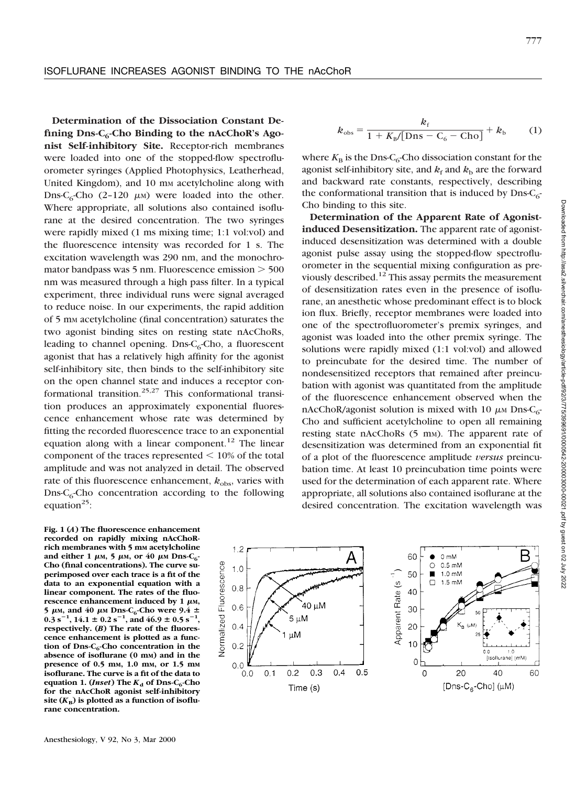**Determination of the Dissociation Constant De**fining Dns-C<sub>6</sub>-Cho Binding to the nAcChoR's Ago**nist Self-inhibitory Site.** Receptor-rich membranes were loaded into one of the stopped-flow spectrofluorometer syringes (Applied Photophysics, Leatherhead, United Kingdom), and 10 mm acetylcholine along with Dns-C<sub>6</sub>-Cho (2-120  $\mu$ M) were loaded into the other. Where appropriate, all solutions also contained isoflurane at the desired concentration. The two syringes were rapidly mixed (1 ms mixing time; 1:1 vol:vol) and the fluorescence intensity was recorded for 1 s. The excitation wavelength was 290 nm, and the monochromator bandpass was  $5 \text{ nm}$ . Fluorescence emission  $> 500$ nm was measured through a high pass filter. In a typical experiment, three individual runs were signal averaged to reduce noise. In our experiments, the rapid addition of 5 mm acetylcholine (final concentration) saturates the two agonist binding sites on resting state nAcChoRs, leading to channel opening. Dns- $C_6$ -Cho, a fluorescent agonist that has a relatively high affinity for the agonist self-inhibitory site, then binds to the self-inhibitory site on the open channel state and induces a receptor conformational transition.<sup>25,27</sup> This conformational transition produces an approximately exponential fluorescence enhancement whose rate was determined by fitting the recorded fluorescence trace to an exponential equation along with a linear component.<sup>12</sup> The linear component of the traces represented  $< 10\%$  of the total amplitude and was not analyzed in detail. The observed rate of this fluorescence enhancement,  $k_{\text{obs}}$ , varies with  $D$ ns-C<sub>6</sub>-Cho concentration according to the following equation<sup>25</sup>:

**Fig. 1 (***A***) The fluorescence enhancement recorded on rapidly mixing nAcChoR**rich membranes with 5 mm acetylcholine and either 1  $\mu$ m, 5  $\mu$ m, or 40  $\mu$ m Dns-C<sub>6</sub>-**Cho (final concentrations). The curve superimposed over each trace is a fit of the data to an exponential equation with a linear component. The rates of the fluo**rescence enhancement induced by 1  $\mu$ M. 5  $\mu$ M, and 40  $\mu$ M Dns-C<sub>6</sub>-Cho were 9.4  $\pm$  $0.\overline{3}$  s<sup>-1</sup>, 14.1  $\pm$  0.2 s<sup>-1</sup>, and 46.9  $\pm$  0.5 s<sup>-1</sup>, **respectively. (***B***) The rate of the fluorescence enhancement is plotted as a func**tion of Dns-C<sub>6</sub>-Cho concentration in the **absence of isoflurane (0 mM) and in the presence of 0.5 mM, 1.0 mM, or 1.5 mM isoflurane. The curve is a fit of the data to equation 1. (***Inset***) The** *K***<sup>d</sup> of Dns-C6-Cho for the nAcChoR agonist self-inhibitory** site  $(K_{\text{B}})$  is plotted as a function of isoflu**rane concentration.**

Anesthesiology, V 92, No 3, Mar 2000

$$
k_{\text{obs}} = \frac{k_{\text{f}}}{1 + K_{\text{B}} / [\text{Dns} - \text{C}_{6} - \text{Cho}]} + k_{\text{b}} \tag{1}
$$

where  $K_{\text{B}}$  is the Dns-C<sub>6</sub>-Cho dissociation constant for the agonist self-inhibitory site, and  $k_f$  and  $k_b$  are the forward and backward rate constants, respectively, describing the conformational transition that is induced by  $Dn s-C<sub>6</sub>$ -Cho binding to this site.

**Determination of the Apparent Rate of Agonistinduced Desensitization.** The apparent rate of agonistinduced desensitization was determined with a double agonist pulse assay using the stopped-flow spectrofluorometer in the sequential mixing configuration as previously described.<sup>12</sup> This assay permits the measurement of desensitization rates even in the presence of isoflurane, an anesthetic whose predominant effect is to block ion flux. Briefly, receptor membranes were loaded into one of the spectrofluorometer's premix syringes, and agonist was loaded into the other premix syringe. The solutions were rapidly mixed (1:1 vol:vol) and allowed to preincubate for the desired time. The number of nondesensitized receptors that remained after preincubation with agonist was quantitated from the amplitude of the fluorescence enhancement observed when the nAcChoR/agonist solution is mixed with 10  $\mu$ M Dns-C<sub>6</sub>-Cho and sufficient acetylcholine to open all remaining resting state nAcChoRs (5 mm). The apparent rate of desensitization was determined from an exponential fit of a plot of the fluorescence amplitude *versus* preincubation time. At least 10 preincubation time points were used for the determination of each apparent rate. Where appropriate, all solutions also contained isoflurane at the desired concentration. The excitation wavelength was

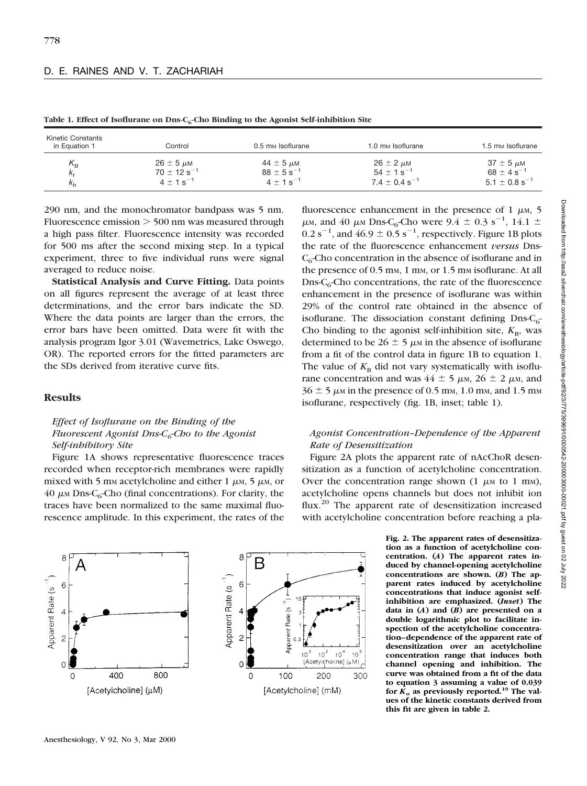| Kinetic Constants<br>in Equation 1 | Control                     | 0.5 mm Isoflurane       | 1.0 mm Isoflurane           | 1.5 mm Isoflurane             |
|------------------------------------|-----------------------------|-------------------------|-----------------------------|-------------------------------|
| $\mathsf{K}_\mathsf{B}$            | $26 \pm 5 \mu$ M            | $44 \pm 5 \mu M$        | $26 \pm 2 \mu$ M            | $37 \pm 5 \mu$ M              |
| K <sub>f</sub>                     | $70 \pm 12$ s <sup>-1</sup> | $88 \pm 5 s^{-1}$       | $54 \pm 1$ s <sup>-1</sup>  | $68 \pm 4$ s <sup>-1</sup>    |
| $k_{\rm b}$                        | $4 + 1$ s <sup>-1</sup>     | $4 + 1$ s <sup>-1</sup> | $7.4 + 0.4$ s <sup>-1</sup> | $5.1 \pm 0.8$ s <sup>-1</sup> |

Table 1. Effect of Isoflurane on Dns-C<sub>6</sub>-Cho Binding to the Agonist Self-inhibition Site

290 nm, and the monochromator bandpass was 5 nm. Fluorescence emission  $>$  500 nm was measured through a high pass filter. Fluorescence intensity was recorded for 500 ms after the second mixing step. In a typical experiment, three to five individual runs were signal averaged to reduce noise.

**Statistical Analysis and Curve Fitting.** Data points on all figures represent the average of at least three determinations, and the error bars indicate the SD. Where the data points are larger than the errors, the error bars have been omitted. Data were fit with the analysis program Igor 3.01 (Wavemetrics, Lake Oswego, OR). The reported errors for the fitted parameters are the SDs derived from iterative curve fits.

### **Results**

# *Effect of Isoflurane on the Binding of the Fluorescent Agonist Dns-C<sub>6</sub>-Cho to the Agonist Self-inhibitory Site*

Figure 1A shows representative fluorescence traces recorded when receptor-rich membranes were rapidly mixed with 5 mm acetylcholine and either 1  $\mu$ m, 5  $\mu$ m, or 40  $\mu$ M Dns-C<sub>6</sub>-Cho (final concentrations). For clarity, the traces have been normalized to the same maximal fluorescence amplitude. In this experiment, the rates of the



fluorescence enhancement in the presence of 1  $\mu$ M, 5  $\mu$ m, and 40  $\mu$ m Dns-C<sub>6</sub>-Cho were 9.4  $\pm$  0.3 s<sup>-1</sup>, 14.1  $\pm$  $0.2$  s<sup>-1</sup>, and  $46.9 \pm 0.5$  s<sup>-1</sup>, respectively. Figure 1B plots the rate of the fluorescence enhancement *versus* Dns- $C_6$ -Cho concentration in the absence of isoflurane and in the presence of 0.5 mm, 1 mm, or 1.5 mm isoflurane. At all  $D$ ns-C<sub>6</sub>-Cho concentrations, the rate of the fluorescence enhancement in the presence of isoflurane was within 29% of the control rate obtained in the absence of isoflurane. The dissociation constant defining  $Dn s-C<sub>6</sub>$ -Cho binding to the agonist self-inhibition site,  $K_{\text{B}}$ , was determined to be  $26 \pm 5 \mu$ M in the absence of isoflurane from a fit of the control data in figure 1B to equation 1. The value of  $K_B$  did not vary systematically with isoflurane concentration and was  $44 \pm 5 \mu$ M,  $26 \pm 2 \mu$ M, and  $36 \pm 5$  µm in the presence of 0.5 mm, 1.0 mm, and 1.5 mm isoflurane, respectively (fig. 1B, inset; table 1).

# *Agonist Concentration–Dependence of the Apparent Rate of Desensitization*

Figure 2A plots the apparent rate of nAcChoR desensitization as a function of acetylcholine concentration. Over the concentration range shown  $(1 \mu M)$  to  $1 \mu M$ ), acetylcholine opens channels but does not inhibit ion flux.<sup>20</sup> The apparent rate of desensitization increased with acetylcholine concentration before reaching a pla-

> **Fig. 2. The apparent rates of desensitization as a function of acetylcholine concentration. (***A***) The apparent rates induced by channel-opening acetylcholine concentrations are shown. (***B***) The apparent rates induced by acetylcholine concentrations that induce agonist selfinhibition are emphasized. (***Inset***) The data in (***A***) and (***B***) are presented on a double logarithmic plot to facilitate inspection of the acetylcholine concentration–dependence of the apparent rate of desensitization over an acetylcholine concentration range that induces both channel opening and inhibition. The curve was obtained from a fit of the data to equation 3 assuming a value of 0.039** for  $\hat{K}_o$  as previously reported.<sup>19</sup> The val**ues of the kinetic constants derived from this fit are given in table 2.**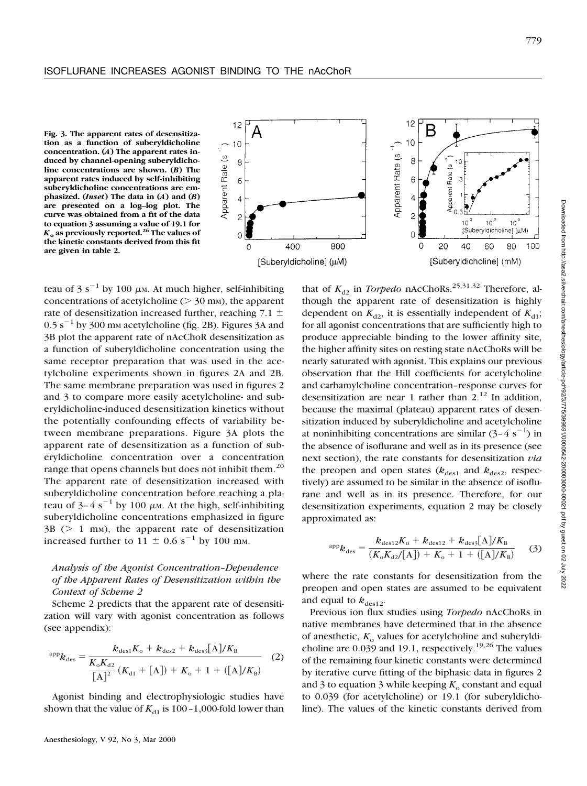



teau of 3 s<sup>-1</sup> by 100  $\mu$ m. At much higher, self-inhibiting concentrations of acetylcholine ( $>$  30 mm), the apparent rate of desensitization increased further, reaching 7.1  $\pm$  $0.5$  s<sup> $-1$ </sup> by 300 mm acetylcholine (fig. 2B). Figures 3A and 3B plot the apparent rate of nAcChoR desensitization as a function of suberyldicholine concentration using the same receptor preparation that was used in the acetylcholine experiments shown in figures 2A and 2B. The same membrane preparation was used in figures 2 and 3 to compare more easily acetylcholine- and suberyldicholine-induced desensitization kinetics without the potentially confounding effects of variability between membrane preparations. Figure 3A plots the apparent rate of desensitization as a function of suberyldicholine concentration over a concentration range that opens channels but does not inhibit them.<sup>20</sup> The apparent rate of desensitization increased with suberyldicholine concentration before reaching a plateau of  $3-4 s^{-1}$  by 100  $\mu$ m. At the high, self-inhibiting suberyldicholine concentrations emphasized in figure  $3B$  ( $> 1$  mm), the apparent rate of desensitization increased further to 11  $\pm$  0.6 s<sup>-1</sup> by 100 mm.

# *Analysis of the Agonist Concentration–Dependence of the Apparent Rates of Desensitization within the Context of Scheme 2*

Scheme 2 predicts that the apparent rate of desensitization will vary with agonist concentration as follows (see appendix):

$$
^{app}k_{\text{des}} = \frac{k_{\text{des1}}K_{\text{o}} + k_{\text{des2}} + k_{\text{des3}}[A]/K_{\text{B}}}{\frac{K_{\text{o}}K_{\text{d2}}}{[A]^2}(K_{\text{d1}} + [A]) + K_{\text{o}} + 1 + ([A]/K_{\text{B}})}
$$
(2)

Agonist binding and electrophysiologic studies have shown that the value of  $K_{d1}$  is 100–1,000-fold lower than that of  $K_{d2}$  in *Torpedo* nAcChoRs.<sup>25,31,32</sup> Therefore, although the apparent rate of desensitization is highly dependent on  $K_{d2}$ , it is essentially independent of  $K_{d1}$ ; for all agonist concentrations that are sufficiently high to produce appreciable binding to the lower affinity site, the higher affinity sites on resting state nAcChoRs will be nearly saturated with agonist. This explains our previous observation that the Hill coefficients for acetylcholine and carbamylcholine concentration–response curves for desensitization are near 1 rather than  $2<sup>12</sup>$  In addition, because the maximal (plateau) apparent rates of desensitization induced by suberyldicholine and acetylcholine at noninhibiting concentrations are similar  $(3-4 \text{ s}^{-1})$  in the absence of isoflurane and well as in its presence (see next section), the rate constants for desensitization *via* the preopen and open states  $(k_{\text{des}1}$  and  $k_{\text{des}2}$ , respectively) are assumed to be similar in the absence of isoflurane and well as in its presence. Therefore, for our desensitization experiments, equation 2 may be closely approximated as:

$$
^{app}k_{des} = \frac{k_{des12}K_o + k_{des12} + k_{des3}[A]/K_B}{(K_oK_{d2}/[A]) + K_o + 1 + ([A]/K_B)}
$$
(3)

where the rate constants for desensitization from the preopen and open states are assumed to be equivalent and equal to  $k_{\text{des}12}$ .

Previous ion flux studies using *Torpedo* nAcChoRs in native membranes have determined that in the absence of anesthetic,  $K_0$  values for acetylcholine and suberyldicholine are  $0.039$  and 19.1, respectively.<sup>19,26</sup> The values of the remaining four kinetic constants were determined by iterative curve fitting of the biphasic data in figures 2 and 3 to equation 3 while keeping  $K_0$  constant and equal to 0.039 (for acetylcholine) or 19.1 (for suberyldicholine). The values of the kinetic constants derived from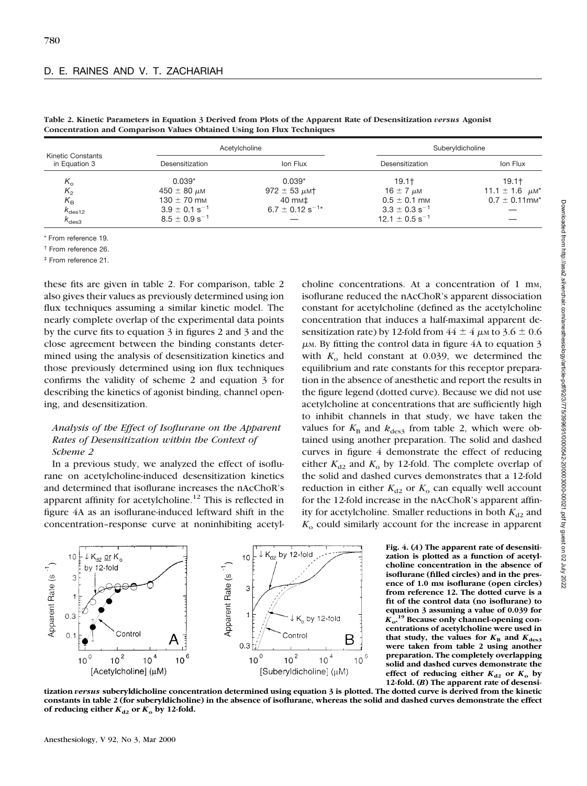| <b>Kinetic Constants</b><br>in Equation 3 | Acetylcholine                 |                                 | Suberyldicholine               |                                     |  |
|-------------------------------------------|-------------------------------|---------------------------------|--------------------------------|-------------------------------------|--|
|                                           | Desensitization               | Ion Flux                        | Desensitization                | Ion Flux                            |  |
| $K_{\alpha}$                              | $0.039*$                      | $0.039*$                        | $19.1+$                        | $19.1+$                             |  |
| $K_{2}$                                   | 450 $\pm$ 80 $\mu$ M          | 972 $\pm$ 53 $\mu$ MT           | $16 \pm 7 \mu M$               | 11.1 $\pm$ 1.6 $\mu$ M <sup>*</sup> |  |
| $K_{\mathsf{B}}$                          | $130 \pm 70$ mm               | 40 mm‡                          | $0.5 \pm 0.1$ mm               | $0.7 \pm 0.11$ mm <sup>*</sup>      |  |
| $k_{\rm des12}$                           | $3.9 \pm 0.1$ s <sup>-1</sup> | $6.7 \pm 0.12$ s <sup>-1*</sup> | $3.3 \pm 0.3$ s <sup>-1</sup>  |                                     |  |
| $k_{\rm des3}$                            | $8.5 \pm 0.9$ s <sup>-1</sup> |                                 | $12.1 \pm 0.5$ s <sup>-1</sup> |                                     |  |

**Table 2. Kinetic Parameters in Equation 3 Derived from Plots of the Apparent Rate of Desensitization** *versus* **Agonist Concentration and Comparison Values Obtained Using Ion Flux Techniques**

\* From reference 19.

† From reference 26.

‡ From reference 21.

these fits are given in table 2. For comparison, table 2 also gives their values as previously determined using ion flux techniques assuming a similar kinetic model. The nearly complete overlap of the experimental data points by the curve fits to equation 3 in figures 2 and 3 and the close agreement between the binding constants determined using the analysis of desensitization kinetics and those previously determined using ion flux techniques confirms the validity of scheme 2 and equation 3 for describing the kinetics of agonist binding, channel opening, and desensitization.

## *Analysis of the Effect of Isoflurane on the Apparent Rates of Desensitization within the Context of Scheme 2*

In a previous study, we analyzed the effect of isoflurane on acetylcholine-induced desensitization kinetics and determined that isoflurane increases the nAcChoR's apparent affinity for acetylcholine.12 This is reflected in figure 4A as an isoflurane-induced leftward shift in the concentration–response curve at noninhibiting acetyl-

choline concentrations. At a concentration of 1 mm, isoflurane reduced the nAcChoR's apparent dissociation constant for acetylcholine (defined as the acetylcholine concentration that induces a half-maximal apparent desensitization rate) by 12-fold from  $44 \pm 4$  µm to 3.6  $\pm$  0.6  $\mu$ M. By fitting the control data in figure 4A to equation 3 with  $K_0$  held constant at 0.039, we determined the equilibrium and rate constants for this receptor preparation in the absence of anesthetic and report the results in the figure legend (dotted curve). Because we did not use acetylcholine at concentrations that are sufficiently high to inhibit channels in that study, we have taken the values for  $K_{\text{B}}$  and  $k_{\text{des}3}$  from table 2, which were obtained using another preparation. The solid and dashed curves in figure 4 demonstrate the effect of reducing either  $K_{d2}$  and  $K_0$  by 12-fold. The complete overlap of the solid and dashed curves demonstrates that a 12-fold reduction in either  $K_{d2}$  or  $K_0$  can equally well account for the 12-fold increase in the nAcChoR's apparent affinity for acetylcholine. Smaller reductions in both  $K_{d2}$  and *K*<sup>o</sup> could similarly account for the increase in apparent



**Fig. 4. (***A***) The apparent rate of desensitization is plotted as a function of acetylcholine concentration in the absence of isoflurane (filled circles) and in the presence of 1.0 mM isoflurane (open circles) from reference 12. The dotted curve is a fit of the control data (no isoflurane) to equation 3 assuming a value of 0.039 for** *K***o. <sup>19</sup> Because only channel-opening concentrations of acetylcholine were used in** that study, the values for  $K_{\text{B}}$  and  $K_{\text{des3}}$ **were taken from table 2 using another preparation. The completely overlapping solid and dashed curves demonstrate the effect** of reducing either  $K_{d2}$  or  $K_o$  by **12-fold. (***B***) The apparent rate of desensi-**

**tization** *versus* **suberyldicholine concentration determined using equation 3 is plotted. The dotted curve is derived from the kinetic constants in table 2 (for suberyldicholine) in the absence of isoflurane, whereas the solid and dashed curves demonstrate the effect** of reducing either  $K_{d2}$  or  $K_o$  by 12-fold.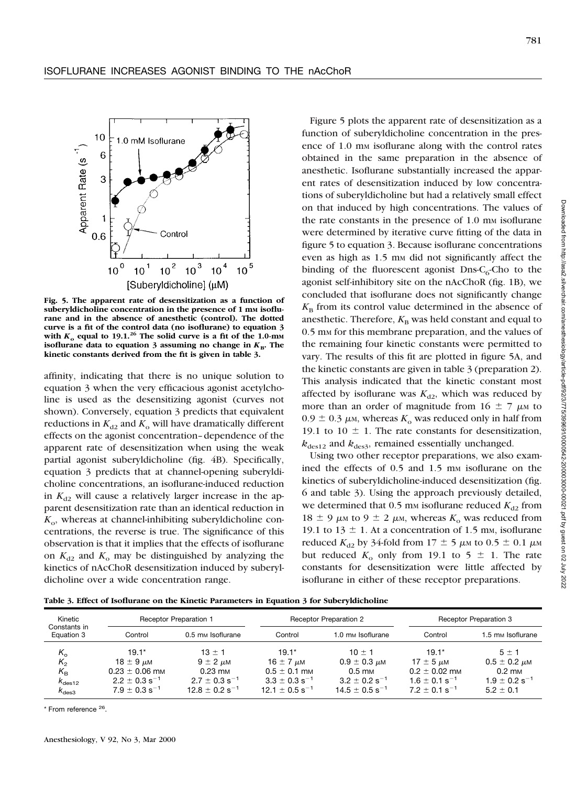

**Fig. 5. The apparent rate of desensitization as a function of** suberyldicholine concentration in the presence of 1 mm isoflu**rane and in the absence of anesthetic (control). The dotted curve is a fit of the control data (no isoflurane) to equation 3** with  $K_0$  equal to 19.1.<sup>26</sup> The solid curve is a fit of the 1.0-mm **isoflurane data to equation 3 assuming no change in**  $K_{\text{B}}$ . The **kinetic constants derived from the fit is given in table 3.**

affinity, indicating that there is no unique solution to equation 3 when the very efficacious agonist acetylcholine is used as the desensitizing agonist (curves not shown). Conversely, equation 3 predicts that equivalent reductions in  $K_{d2}$  and  $K_0$  will have dramatically different effects on the agonist concentration–dependence of the apparent rate of desensitization when using the weak partial agonist suberyldicholine (fig. 4B). Specifically, equation 3 predicts that at channel-opening suberyldicholine concentrations, an isoflurane-induced reduction in  $K_{d2}$  will cause a relatively larger increase in the apparent desensitization rate than an identical reduction in  $K<sub>o</sub>$ , whereas at channel-inhibiting suberyldicholine concentrations, the reverse is true. The significance of this observation is that it implies that the effects of isoflurane on  $K_{d2}$  and  $K_0$  may be distinguished by analyzing the kinetics of nAcChoR desensitization induced by suberyldicholine over a wide concentration range.

Figure 5 plots the apparent rate of desensitization as a function of suberyldicholine concentration in the presence of 1.0 mm isoflurane along with the control rates obtained in the same preparation in the absence of anesthetic. Isoflurane substantially increased the apparent rates of desensitization induced by low concentrations of suberyldicholine but had a relatively small effect on that induced by high concentrations. The values of the rate constants in the presence of 1.0 mm isoflurane were determined by iterative curve fitting of the data in figure 5 to equation 3. Because isoflurane concentrations even as high as 1.5 mm did not significantly affect the binding of the fluorescent agonist Dns- $C_6$ -Cho to the agonist self-inhibitory site on the nAcChoR (fig. 1B), we concluded that isoflurane does not significantly change  $K_{\rm B}$  from its control value determined in the absence of anesthetic. Therefore,  $K_B$  was held constant and equal to 0.5 mm for this membrane preparation, and the values of the remaining four kinetic constants were permitted to vary. The results of this fit are plotted in figure 5A, and the kinetic constants are given in table 3 (preparation 2). This analysis indicated that the kinetic constant most affected by isoflurane was  $K_{d2}$ , which was reduced by more than an order of magnitude from 16  $\pm$  7  $\mu$ M to  $0.9 \pm 0.3 \mu$ <sub>M</sub>, whereas  $K_0$  was reduced only in half from 19.1 to 10  $\pm$  1. The rate constants for desensitization,  $k_{\text{des}12}$  and  $k_{\text{des}3}$ , remained essentially unchanged.

Using two other receptor preparations, we also examined the effects of 0.5 and 1.5 mm isoflurane on the kinetics of suberyldicholine-induced desensitization (fig. 6 and table 3). Using the approach previously detailed, we determined that 0.5 mm isoflurane reduced  $K_{d2}$  from 18  $\pm$  9  $\mu$ m to 9  $\pm$  2  $\mu$ m, whereas  $K_0$  was reduced from 19.1 to 13  $\pm$  1. At a concentration of 1.5 mm, isoflurane reduced  $K_{d2}$  by 34-fold from 17  $\pm$  5  $\mu$ m to 0.5  $\pm$  0.1  $\mu$ m but reduced  $K_0$  only from 19.1 to 5  $\pm$  1. The rate constants for desensitization were little affected by isoflurane in either of these receptor preparations.

**Table 3. Effect of Isoflurane on the Kinetic Parameters in Equation 3 for Suberyldicholine**

| Kinetic<br>Constants in<br>Equation 3                                                    |                                                                                                                     | <b>Receptor Preparation 1</b>                                                                                     |                                                                                                                      | <b>Receptor Preparation 2</b>                                                                                        |                                                                                                                  | Receptor Preparation 3                                                                               |  |
|------------------------------------------------------------------------------------------|---------------------------------------------------------------------------------------------------------------------|-------------------------------------------------------------------------------------------------------------------|----------------------------------------------------------------------------------------------------------------------|----------------------------------------------------------------------------------------------------------------------|------------------------------------------------------------------------------------------------------------------|------------------------------------------------------------------------------------------------------|--|
|                                                                                          | Control                                                                                                             | 0.5 mm Isoflurane                                                                                                 | Control                                                                                                              | 1.0 mm Isoflurane                                                                                                    | Control                                                                                                          | 1.5 mм Isoflurane                                                                                    |  |
| $K_{\alpha}$<br>$K_{2}$<br>$K_{\rm B}$<br>$\kappa$ <sub>des12</sub><br>$K_{\text{des}3}$ | $19.1*$<br>18 $\pm$ 9 $\mu$ M<br>$0.23 \pm 0.06$ mm<br>$2.2 \pm 0.3$ s <sup>-1</sup><br>$7.9 + 0.3$ s <sup>-1</sup> | $13 + 1$<br>$9 \pm 2 \mu M$<br>$0.23 \text{ mm}$<br>$2.7 \pm 0.3$ s <sup>-1</sup><br>$12.8 + 0.2$ s <sup>-1</sup> | $19.1*$<br>16 $\pm$ 7 $\mu$ M<br>$0.5 \pm 0.1$ mm<br>$3.3 \pm 0.3$ s <sup>-1</sup><br>$12.1 \pm 0.5$ s <sup>-1</sup> | $10 + 1$<br>$0.9 \pm 0.3 \mu$ M<br>$0.5 \text{ mm}$<br>$3.2 \pm 0.2$ s <sup>-1</sup><br>$14.5 + 0.5$ s <sup>-1</sup> | $19.1*$<br>$17 \pm 5 \mu M$<br>$0.2 \pm 0.02$ mm<br>$1.6 \pm 0.1$ s <sup>-1</sup><br>$7.2 + 0.1$ s <sup>-1</sup> | $5 \pm 1$<br>$0.5 \pm 0.2 \mu M$<br>$0.2 \text{ mm}$<br>$1.9 \pm 0.2$ s <sup>-1</sup><br>$5.2 + 0.1$ |  |

\* From reference <sup>26</sup>.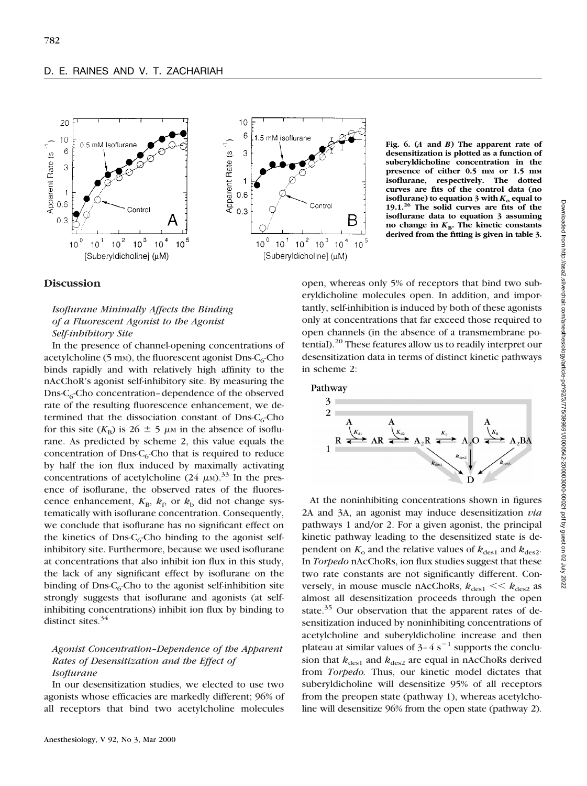

**Fig. 6. (***A* **and** *B***) The apparent rate of desensitization is plotted as a function of suberyldicholine concentration in the presence of either 0.5 mM or 1.5 mM isoflurane, respectively. The dotted curves are fits of the control data (no isoflurane)** to equation 3 with  $K_0$  equal to **19.1.<sup>26</sup> The solid curves are fits of the isoflurane data to equation 3 assuming** no change in  $K_{\text{B}}$ . The kinetic constants **derived from the fitting is given in table 3.**

### **Discussion**

# *Isoflurane Minimally Affects the Binding of a Fluorescent Agonist to the Agonist Self-inhibitory Site*

In the presence of channel-opening concentrations of acetylcholine (5 mm), the fluorescent agonist Dns- $C_6$ -Cho binds rapidly and with relatively high affinity to the nAcChoR's agonist self-inhibitory site. By measuring the  $D$ ns-C<sub>6</sub>-Cho concentration–dependence of the observed rate of the resulting fluorescence enhancement, we determined that the dissociation constant of Dns- $C_6$ -Cho for this site ( $K_{\rm B}$ ) is 26  $\pm$  5  $\mu$ M in the absence of isoflurane. As predicted by scheme 2, this value equals the concentration of Dns- $C_6$ -Cho that is required to reduce by half the ion flux induced by maximally activating concentrations of acetylcholine (24  $\mu$ M).<sup>33</sup> In the presence of isoflurane, the observed rates of the fluorescence enhancement,  $K_{\text{B}}$ ,  $k_{\text{f}}$ , or  $k_{\text{b}}$  did not change systematically with isoflurane concentration. Consequently, we conclude that isoflurane has no significant effect on the kinetics of Dns- $C_6$ -Cho binding to the agonist selfinhibitory site. Furthermore, because we used isoflurane at concentrations that also inhibit ion flux in this study, the lack of any significant effect by isoflurane on the binding of Dns- $C_6$ -Cho to the agonist self-inhibition site strongly suggests that isoflurane and agonists (at selfinhibiting concentrations) inhibit ion flux by binding to distinct sites. $34$ 

## *Agonist Concentration–Dependence of the Apparent Rates of Desensitization and the Effect of Isoflurane*

In our desensitization studies, we elected to use two agonists whose efficacies are markedly different; 96% of all receptors that bind two acetylcholine molecules open, whereas only 5% of receptors that bind two suberyldicholine molecules open. In addition, and importantly, self-inhibition is induced by both of these agonists only at concentrations that far exceed those required to open channels (in the absence of a transmembrane potential).<sup>20</sup> These features allow us to readily interpret our desensitization data in terms of distinct kinetic pathways in scheme 2:



Downloaded from http://asa2.silverchair.com/anesthesiology/article-pdf92/3/775/399691/0000542-200003000-00021.pdf by guest on 02 July 2022 Downloaded from http://asa2.silverchair.com/anesthesiology/article-pdf/92/3/775/399691/0000542-200003000-00021.pdf by guest on 02 July 2022

At the noninhibiting concentrations shown in figures 2A and 3A, an agonist may induce desensitization *via* pathways 1 and/or 2. For a given agonist, the principal kinetic pathway leading to the desensitized state is dependent on  $K_0$  and the relative values of  $k_{\text{des}1}$  and  $k_{\text{des}2}$ . In *Torpedo* nAcChoRs, ion flux studies suggest that these two rate constants are not significantly different. Conversely, in mouse muscle nAcChoRs,  $k_{\text{des1}} \ll k_{\text{des2}}$  as almost all desensitization proceeds through the open state.<sup>35</sup> Our observation that the apparent rates of desensitization induced by noninhibiting concentrations of acetylcholine and suberyldicholine increase and then plateau at similar values of  $3-4 s^{-1}$  supports the conclusion that  $k_{des1}$  and  $k_{des2}$  are equal in nAcChoRs derived from *Torpedo.* Thus, our kinetic model dictates that suberyldicholine will desensitize 95% of all receptors from the preopen state (pathway 1), whereas acetylcholine will desensitize 96% from the open state (pathway 2).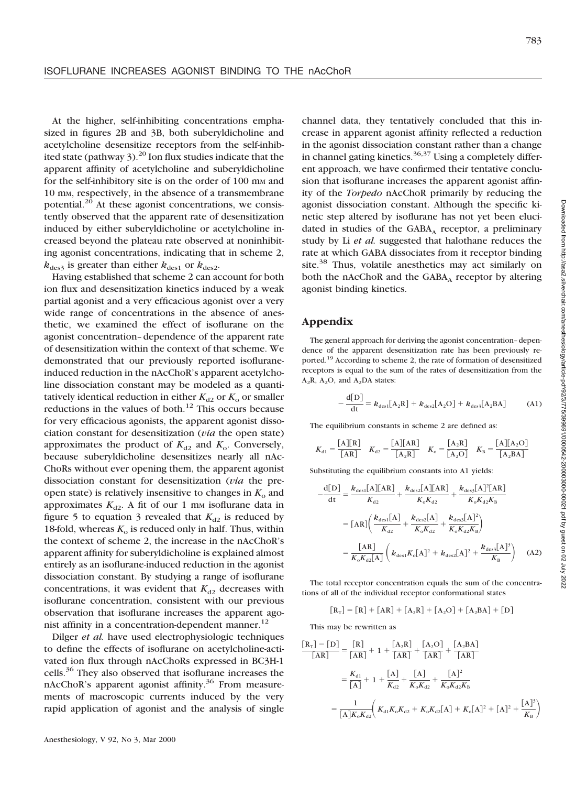At the higher, self-inhibiting concentrations emphasized in figures 2B and 3B, both suberyldicholine and acetylcholine desensitize receptors from the self-inhibited state (pathway  $3$ ).<sup>20</sup> Ion flux studies indicate that the apparent affinity of acetylcholine and suberyldicholine for the self-inhibitory site is on the order of 100 mm and 10 mM, respectively, in the absence of a transmembrane potential. $^{20}$  At these agonist concentrations, we consistently observed that the apparent rate of desensitization induced by either suberyldicholine or acetylcholine increased beyond the plateau rate observed at noninhibiting agonist concentrations, indicating that in scheme 2,  $k_{\text{des}3}$  is greater than either  $k_{\text{des}1}$  or  $k_{\text{des}2}$ .

Having established that scheme 2 can account for both ion flux and desensitization kinetics induced by a weak partial agonist and a very efficacious agonist over a very wide range of concentrations in the absence of anesthetic, we examined the effect of isoflurane on the agonist concentration–dependence of the apparent rate of desensitization within the context of that scheme. We demonstrated that our previously reported isofluraneinduced reduction in the nAcChoR's apparent acetylcholine dissociation constant may be modeled as a quantitatively identical reduction in either  $K_{d2}$  or  $K_0$  or smaller reductions in the values of both. $12$  This occurs because for very efficacious agonists, the apparent agonist dissociation constant for desensitization (*via* the open state) approximates the product of  $K_{d2}$  and  $K_{o}$ . Conversely, because suberyldicholine desensitizes nearly all nAc-ChoRs without ever opening them, the apparent agonist dissociation constant for desensitization (*via* the preopen state) is relatively insensitive to changes in  $K_0$  and approximates  $K_{d2}$ . A fit of our 1 mm isoflurane data in figure 5 to equation 3 revealed that  $K_{d2}$  is reduced by 18-fold, whereas  $K_0$  is reduced only in half. Thus, within the context of scheme 2, the increase in the nAcChoR's apparent affinity for suberyldicholine is explained almost entirely as an isoflurane-induced reduction in the agonist dissociation constant. By studying a range of isoflurane concentrations, it was evident that  $K_{d2}$  decreases with isoflurane concentration, consistent with our previous observation that isoflurane increases the apparent agonist affinity in a concentration-dependent manner. $^{12}$ 

Dilger *et al.* have used electrophysiologic techniques to define the effects of isoflurane on acetylcholine-activated ion flux through nAcChoRs expressed in BC3H-1 cells.36 They also observed that isoflurane increases the nAcChoR's apparent agonist affinity.<sup>36</sup> From measurements of macroscopic currents induced by the very rapid application of agonist and the analysis of single

channel data, they tentatively concluded that this increase in apparent agonist affinity reflected a reduction in the agonist dissociation constant rather than a change in channel gating kinetics.<sup>36,37</sup> Using a completely different approach, we have confirmed their tentative conclusion that isoflurane increases the apparent agonist affinity of the *Torpedo* nAcChoR primarily by reducing the agonist dissociation constant. Although the specific kinetic step altered by isoflurane has not yet been elucidated in studies of the  $GABA_A$  receptor, a preliminary study by Li *et al.* suggested that halothane reduces the rate at which GABA dissociates from it receptor binding site.<sup>38</sup> Thus, volatile anesthetics may act similarly on both the nAcChoR and the  $GABA_A$  receptor by altering agonist binding kinetics.

### **Appendix**

The general approach for deriving the agonist concentration–dependence of the apparent desensitization rate has been previously reported.19 According to scheme 2, the rate of formation of desensitized receptors is equal to the sum of the rates of desensitization from the  $A_2R$ ,  $A_2O$ , and  $A_2DA$  states:

$$
-\frac{d[D]}{dt} = k_{des1}[A_2R] + k_{des2}[A_2O] + k_{des3}[A_2BA]
$$
 (A1)

The equilibrium constants in scheme 2 are defined as:

$$
K_{d1} = \frac{[A][R]}{[AR]} \quad K_{d2} = \frac{[A][AR]}{[A_2R]} \quad K_o = \frac{[A_2R]}{[A_2O]} \quad K_B = \frac{[A][A_2O]}{[A_2BA]}
$$

Substituting the equilibrium constants into A1 yields:

$$
-\frac{d[D]}{dt} = \frac{k_{des1}[A][AR]}{K_{d2}} + \frac{k_{des2}[A][AR]}{K_{o}K_{d2}} + \frac{k_{des3}[A]^2[AR]}{K_{o}K_{d2}K_{B}}
$$
  

$$
= [AR] \left( \frac{k_{des1}[A]}{K_{d2}} + \frac{k_{des2}[A]}{K_{o}K_{d2}} + \frac{k_{des3}[A]^2}{K_{o}K_{d2}K_{B}} \right)
$$
  

$$
= \frac{[AR]}{K_{o}K_{d2}[A]} \left( k_{des1}K_{o}[A]^2 + k_{des2}[A]^2 + \frac{k_{des3}[A]^3}{K_{B}} \right) \quad (A2)
$$

The total receptor concentration equals the sum of the concentrations of all of the individual receptor conformational states

$$
[R_{T}] = [R] + [AR] + [A_{2}R] + [A_{2}O] + [A_{2}BA] + [D]
$$

This may be rewritten as

$$
\frac{[R_{T}] - [D]}{[AR]} = \frac{[R]}{[AR]} + 1 + \frac{[A_{2}R]}{[AR]} + \frac{[A_{2}O]}{[AR]} + \frac{[A_{2}BA]}{[AR]}
$$

$$
= \frac{K_{d1}}{[A]} + 1 + \frac{[A]}{K_{d2}} + \frac{[A]}{K_{o}K_{d2}} + \frac{[A]^{2}}{K_{o}K_{d2}K_{B}}
$$

$$
= \frac{1}{[A]K_{o}K_{d2}} \bigg(K_{d1}K_{o}K_{d2} + K_{o}K_{d2}[A] + K_{o}[A]^{2} + [A]^{2} + \frac{[A]^{3}}{K_{B}}\bigg)
$$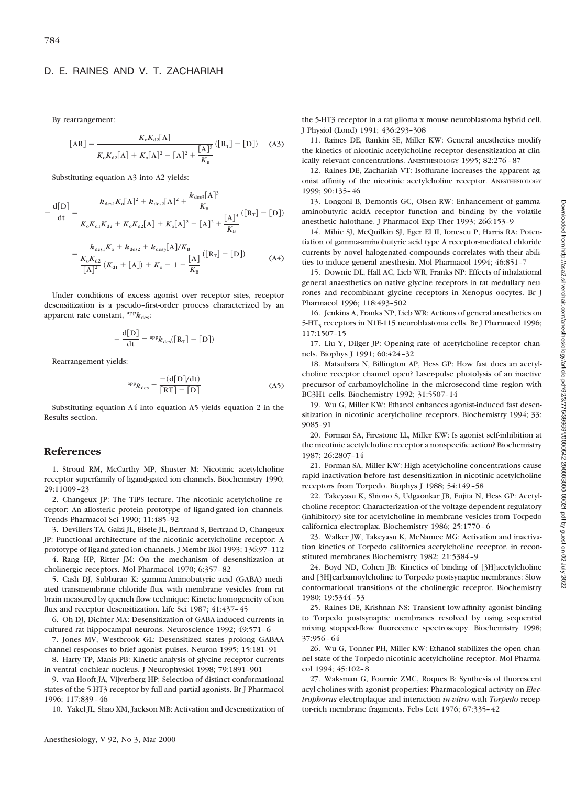By rearrangement:

$$
[AR] = \frac{K_{o}K_{d2}[A]}{K_{o}K_{d2}[A] + K_{o}[A]^{2} + [A]^{2} + \frac{[A]^{3}}{K_{B}}}([R_{T}] - [D]) \quad (A3)
$$

Substituting equation A3 into A2 yields:

$$
-\frac{d[D]}{dt} = \frac{k_{des1}K_o[A]^2 + k_{des2}[A]^2 + \frac{k_{des3}[A]^3}{K_B}}{K_oK_{d1}K_{d2} + K_oK_{d2}[A] + K_o[A]^2 + [A]^2 + \frac{[A]^3}{K_B}} ([R_T] - [D])
$$

$$
= \frac{k_{\text{des1}}K_{\text{o}} + k_{\text{des2}} + k_{\text{des3}}[A]/K_{\text{B}}}{\left[K_{\text{o}}K_{\text{d2}}\left(K_{\text{d1}} + [A]\right) + K_{\text{o}} + 1 + \frac{[A]}{K_{\text{B}}}}\left([R_{\text{T}}] - [D]\right)
$$
(A4)

Under conditions of excess agonist over receptor sites, receptor desensitization is a pseudo–first-order process characterized by an apparent rate constant,  ${}^{app}k_{des}$ :

$$
-\frac{d[D]}{dt} = {}^{app}k_{des}([R_T] - [D])
$$

Rearrangement yields:

$$
^{app}k_{\text{des}} = \frac{-\left(\frac{d[D]/dt}{RT}\right)}{\left[\frac{RT}{d}\right] - \left[\frac{D}{d}\right]}
$$
 (A5)

Substituting equation A4 into equation A5 yields equation 2 in the Results section.

#### **References**

1. Stroud RM, McCarthy MP, Shuster M: Nicotinic acetylcholine receptor superfamily of ligand-gated ion channels. Biochemistry 1990; 29:11009–23

2. Changeux JP: The TiPS lecture. The nicotinic acetylcholine receptor: An allosteric protein prototype of ligand-gated ion channels. Trends Pharmacol Sci 1990; 11:485–92

3. Devillers TA, Galzi JL, Eisele JL, Bertrand S, Bertrand D, Changeux JP: Functional architecture of the nicotinic acetylcholine receptor: A prototype of ligand-gated ion channels. J Membr Biol 1993; 136:97–112

4. Rang HP, Ritter JM: On the mechanism of desensitization at cholinergic receptors. Mol Pharmacol 1970; 6:357–82

5. Cash DJ, Subbarao K: gamma-Aminobutyric acid (GABA) mediated transmembrane chloride flux with membrane vesicles from rat brain measured by quench flow technique: Kinetic homogeneity of ion flux and receptor desensitization. Life Sci 1987; 41:437–45

6. Oh DJ, Dichter MA: Desensitization of GABA-induced currents in cultured rat hippocampal neurons. Neuroscience 1992; 49:571–6

7. Jones MV, Westbrook GL: Desensitized states prolong GABAA channel responses to brief agonist pulses. Neuron 1995; 15:181–91

8. Harty TP, Manis PB: Kinetic analysis of glycine receptor currents in ventral cochlear nucleus. J Neurophysiol 1998; 79:1891–901

9. van Hooft JA, Vijverberg HP: Selection of distinct conformational states of the 5-HT3 receptor by full and partial agonists. Br J Pharmacol 1996; 117:839–46

10. Yakel JL, Shao XM, Jackson MB: Activation and desensitization of

J Physiol (Lond) 1991; 436:293–308 11. Raines DE, Rankin SE, Miller KW: General anesthetics modify

the kinetics of nicotinic acetylcholine receptor desensitization at clinically relevant concentrations. ANESTHESIOLOGY 1995; 82:276–87

the 5-HT3 receptor in a rat glioma x mouse neuroblastoma hybrid cell.

12. Raines DE, Zachariah VT: Isoflurane increases the apparent agonist affinity of the nicotinic acetylcholine receptor. ANESTHESIOLOGY 1999; 90:135–46

13. Longoni B, Demontis GC, Olsen RW: Enhancement of gammaaminobutyric acidA receptor function and binding by the volatile anesthetic halothane. J Pharmacol Exp Ther 1993; 266:153–9

14. Mihic SJ, McQuilkin SJ, Eger EI II, Ionescu P, Harris RA: Potentiation of gamma-aminobutyric acid type A receptor-mediated chloride currents by novel halogenated compounds correlates with their abilities to induce general anesthesia. Mol Pharmacol 1994; 46:851–7

15. Downie DL, Hall AC, Lieb WR, Franks NP: Effects of inhalational general anaesthetics on native glycine receptors in rat medullary neurones and recombinant glycine receptors in Xenopus oocytes. Br J Pharmacol 1996; 118:493–502

16. Jenkins A, Franks NP, Lieb WR: Actions of general anesthetics on 5-HT<sub>3</sub> receptors in N1E-115 neuroblastoma cells. Br J Pharmacol 1996; 117:1507–15

17. Liu Y, Dilger JP: Opening rate of acetylcholine receptor channels. Biophys J 1991; 60:424–32

18. Matsubara N, Billington AP, Hess GP: How fast does an acetylcholine receptor channel open? Laser-pulse photolysis of an inactive precursor of carbamoylcholine in the microsecond time region with BC3H1 cells. Biochemistry 1992; 31:5507–14

19. Wu G, Miller KW: Ethanol enhances agonist-induced fast desensitization in nicotinic acetylcholine receptors. Biochemistry 1994; 33: 9085–91

20. Forman SA, Firestone LL, Miller KW: Is agonist self-inhibition at the nicotinic acetylcholine receptor a nonspecific action? Biochemistry 1987; 26:2807–14

21. Forman SA, Miller KW: High acetylcholine concentrations cause rapid inactivation before fast desensitization in nicotinic acetylcholine receptors from Torpedo. Biophys J 1988; 54:149–58

22. Takeyasu K, Shiono S, Udgaonkar JB, Fujita N, Hess GP: Acetylcholine receptor: Characterization of the voltage-dependent regulatory (inhibitory) site for acetylcholine in membrane vesicles from Torpedo californica electroplax. Biochemistry 1986; 25:1770–6

23. Walker JW, Takeyasu K, McNamee MG: Activation and inactivation kinetics of Torpedo californica acetylcholine receptor. in reconstituted membranes Biochemistry 1982; 21:5384–9

24. Boyd ND, Cohen JB: Kinetics of binding of [3H]acetylcholine and [3H]carbamoylcholine to Torpedo postsynaptic membranes: Slow conformational transitions of the cholinergic receptor. Biochemistry 1980; 19:5344–53

25. Raines DE, Krishnan NS: Transient low-affinity agonist binding to Torpedo postsynaptic membranes resolved by using sequential mixing stopped-flow fluorecence spectroscopy. Biochemistry 1998; 37:956–64

26. Wu G, Tonner PH, Miller KW: Ethanol stabilizes the open channel state of the Torpedo nicotinic acetylcholine receptor. Mol Pharmacol 1994; 45:102–8

27. Waksman G, Fournie ZMC, Roques B: Synthesis of fluorescent acyl-cholines with agonist properties: Pharmacological activity on *Electrophorus* electroplaque and interaction *in-vitro* with *Torpedo* receptor-rich membrane fragments. Febs Lett 1976; 67:335–42